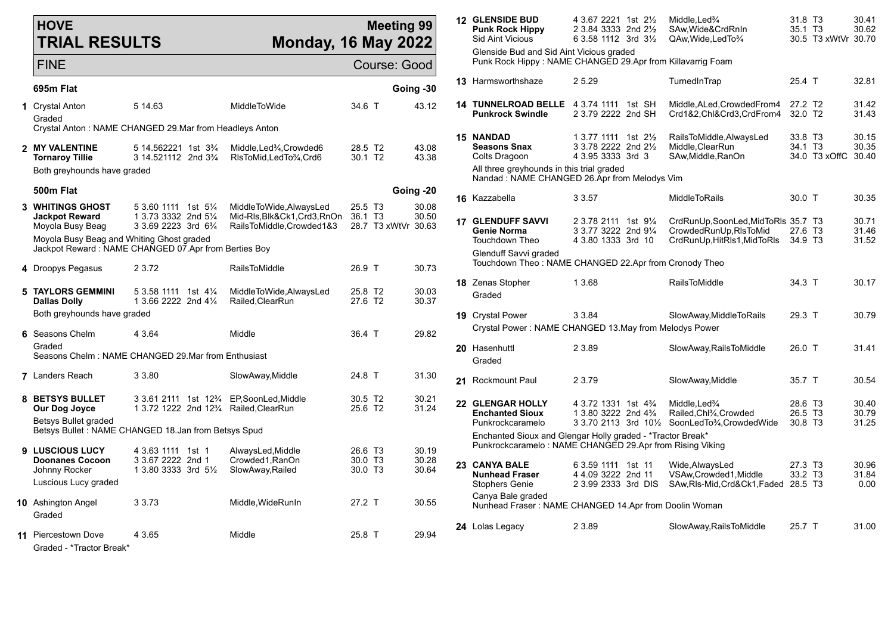| <b>HOVE</b> |                      |
|-------------|----------------------|
|             | <b>TRIAL RESULTS</b> |

Graded - \*Tractor Break\*

## **Meeting 99 Monday, 16 May 2022**

| FINE                                                                        |                                                                                                                |                                                                                 | Course: Good                               |                         |  | Punk Rock Hippy: NAME CHANGED 29.Apr from Killavarrig Foam                                                             |                                                                                                |                                                                    |                                                 |                         |  |  |  |
|-----------------------------------------------------------------------------|----------------------------------------------------------------------------------------------------------------|---------------------------------------------------------------------------------|--------------------------------------------|-------------------------|--|------------------------------------------------------------------------------------------------------------------------|------------------------------------------------------------------------------------------------|--------------------------------------------------------------------|-------------------------------------------------|-------------------------|--|--|--|
| 695m Flat                                                                   |                                                                                                                |                                                                                 |                                            | Going -30               |  | 13 Harmsworthshaze                                                                                                     | 2 5.29                                                                                         | TurnedInTrap                                                       | 25.4 T                                          | 32.81                   |  |  |  |
| 1 Crystal Anton<br>Graded                                                   | 5 14.63                                                                                                        | MiddleToWide                                                                    | 34.6 T                                     | 43.12                   |  | 14 TUNNELROAD BELLE 4 3.74 1111 1st SH<br><b>Punkrock Swindle</b>                                                      | 2 3.79 2222 2nd SH                                                                             | Middle.ALed.CrowdedFrom4<br>Crd1&2,Chl&Crd3,CrdFrom4               | 27.2 T <sub>2</sub><br>32.0 T2                  | 31.42<br>31.43          |  |  |  |
|                                                                             | Crystal Anton: NAME CHANGED 29. Mar from Headleys Anton                                                        |                                                                                 |                                            |                         |  |                                                                                                                        |                                                                                                |                                                                    |                                                 |                         |  |  |  |
| 2 MY VALENTINE<br><b>Tornaroy Tillie</b>                                    | 5 14.562221 1st 3 <sup>3</sup> / <sub>4</sub><br>3 14.521112 2nd 3 <sup>3</sup> / <sub>4</sub>                 | Middle, Led <sup>3</sup> / <sub>4</sub> , Crowded 6<br>RIsToMid, LedTo3⁄4, Crd6 | 28.5 T2<br>30.1 T <sub>2</sub>             | 43.08<br>43.38          |  | <b>15 NANDAD</b><br><b>Seasons Snax</b><br>Colts Dragoon                                                               | 1 3.77 1111 1st 21/ <sub>2</sub><br>3 3.78 2222 2nd 21/2<br>4 3.95 3333 3rd 3                  | RailsToMiddle, AlwaysLed<br>Middle, ClearRun<br>SAw, Middle, RanOn | 33.8 T3<br>34.1 T <sub>3</sub><br>34.0 T3 xOffC | 30.15<br>30.35<br>30.40 |  |  |  |
| Both greyhounds have graded                                                 |                                                                                                                |                                                                                 |                                            |                         |  | All three greyhounds in this trial graded<br>Nandad: NAME CHANGED 26.Apr from Melodys Vim                              |                                                                                                |                                                                    |                                                 |                         |  |  |  |
| 500m Flat                                                                   |                                                                                                                |                                                                                 |                                            | Going -20               |  |                                                                                                                        |                                                                                                |                                                                    |                                                 |                         |  |  |  |
| <b>3 WHITINGS GHOST</b><br><b>Jackpot Reward</b>                            | 5 3.60 1111 1st 51/ <sub>4</sub><br>1 3.73 3332 2nd 51/4                                                       | MiddleToWide, AlwaysLed<br>Mid-RIs.Blk&Ck1.Crd3.RnOn                            | 25.5 T <sub>3</sub><br>36.1 T <sub>3</sub> | 30.08<br>30.50          |  | 16 Kazzabella<br><b>17 GLENDUFF SAVVI</b>                                                                              | 3 3.57<br>2 3.78 2111 1st 91/4                                                                 | MiddleToRails<br>CrdRunUp.SoonLed.MidToRIs 35.7 T3                 | 30.0 T                                          | 30.35<br>30.71          |  |  |  |
| Moyola Busy Beag<br>Moyola Busy Beag and Whiting Ghost graded               | 3 3.69 2223 3rd 6 <sup>3</sup> / <sub>4</sub><br>Jackpot Reward: NAME CHANGED 07.Apr from Berties Boy          | RailsToMiddle,Crowded1&3                                                        | 28.7 T3 xWtVr 30.63                        |                         |  | Genie Norma<br><b>Touchdown Theo</b>                                                                                   | 3 3.77 3222 2nd 91/4<br>4 3.80 1333 3rd 10                                                     | CrowdedRunUp, RIsToMid<br>CrdRunUp, HitRIs1, MidToRIs              | 27.6 T3<br>34.9 T3                              | 31.46<br>31.52          |  |  |  |
| 4 Droopys Pegasus                                                           | 2 3.72                                                                                                         | <b>RailsToMiddle</b>                                                            | 26.9 T                                     | 30.73                   |  | Glenduff Savvi graded<br>Touchdown Theo: NAME CHANGED 22.Apr from Cronody Theo                                         |                                                                                                |                                                                    |                                                 |                         |  |  |  |
| <b>5 TAYLORS GEMMINI</b><br>Dallas Dolly                                    | 5 3.58 1111 1st 41⁄4<br>1 3.66 2222 2nd 41/4                                                                   | MiddleToWide, AlwaysLed<br>Railed.ClearRun                                      | 25.8 T <sub>2</sub><br>27.6 T <sub>2</sub> | 30.03<br>30.37          |  | 18 Zenas Stopher<br>Graded                                                                                             | 1 3.68                                                                                         | RailsToMiddle                                                      | 34.3 T                                          | 30.17                   |  |  |  |
| Both greyhounds have graded                                                 |                                                                                                                |                                                                                 |                                            |                         |  | 19 Crystal Power                                                                                                       | 3 3.84                                                                                         | SlowAway, MiddleToRails                                            | 29.3 T                                          | 30.79                   |  |  |  |
|                                                                             |                                                                                                                |                                                                                 |                                            |                         |  | Crystal Power: NAME CHANGED 13.May from Melodys Power                                                                  |                                                                                                |                                                                    |                                                 |                         |  |  |  |
| 6 Seasons Chelm<br>Graded                                                   | 4 3.64                                                                                                         | Middle                                                                          | 36.4 T                                     | 29.82                   |  | 20 Hasenhuttl                                                                                                          | 2 3.89                                                                                         | SlowAway, Rails To Middle                                          | 26.0 T                                          | 31.41                   |  |  |  |
|                                                                             | Seasons Chelm: NAME CHANGED 29 Mar from Enthusiast                                                             |                                                                                 |                                            |                         |  | Graded                                                                                                                 |                                                                                                |                                                                    |                                                 |                         |  |  |  |
| <b>7</b> Landers Reach                                                      | 3 3.80                                                                                                         | SlowAway, Middle                                                                | 24.8 T                                     | 31.30                   |  | 21 Rockmount Paul                                                                                                      | 2 3.79                                                                                         | SlowAway, Middle                                                   | 35.7 T                                          | 30.54                   |  |  |  |
| 8 BETSYS BULLET<br>Our Dog Joyce                                            | 3 3.61 2111 1st 12 <sup>3</sup> / <sub>4</sub> EP, Soon Led, Middle<br>1 3.72 1222 2nd 123/4 Railed, Clear Run |                                                                                 | 30.5 T2<br>25.6 T2                         | 30.21<br>31.24          |  | 22 GLENGAR HOLLY<br><b>Enchanted Sioux</b>                                                                             | 4 3 72 1331 1st 4 <sup>3</sup> / <sub>4</sub><br>1 3.80 3222 2nd 4 <sup>3</sup> / <sub>4</sub> | Middle, Led%<br>Railed, Chl <sup>3</sup> / <sub>4</sub> , Crowded  | 28.6 T3<br>26.5 T <sub>3</sub>                  | 30.40<br>30.79          |  |  |  |
| Betsys Bullet graded<br>Betsys Bullet: NAME CHANGED 18.Jan from Betsys Spud |                                                                                                                |                                                                                 |                                            |                         |  | Punkrockcaramelo                                                                                                       |                                                                                                | 3 3.70 2113 3rd 101/2 SoonLedTo3/4, CrowdedWide                    | 30.8 T <sub>3</sub>                             | 31.25                   |  |  |  |
|                                                                             |                                                                                                                |                                                                                 |                                            |                         |  | Enchanted Sioux and Glengar Holly graded - *Tractor Break*<br>Punkrockcaramelo: NAME CHANGED 29.Apr from Rising Viking |                                                                                                |                                                                    |                                                 |                         |  |  |  |
| 9 LUSCIOUS LUCY<br><b>Doonanes Cocoon</b><br>Johnny Rocker                  | 4 3.63 1111 1st 1<br>3 3.67 2222 2nd 1<br>1 3.80 3333 3rd 51/2                                                 | AlwaysLed, Middle<br>Crowded1, RanOn<br>SlowAway, Railed                        | 26.6 T3<br>30.0 T3<br>30.0 T3              | 30.19<br>30.28<br>30.64 |  | 23 CANYA BALE<br><b>Nunhead Fraser</b>                                                                                 | 6 3.59 1111 1st 11<br>4 4.09 3222 2nd 11                                                       | Wide, Always Led<br>VSAw.Crowded1.Middle                           | 27.3 T3<br>33.2 T3                              | 30.96<br>31.84          |  |  |  |
| Luscious Lucy graded                                                        |                                                                                                                |                                                                                 |                                            |                         |  | <b>Stophers Genie</b>                                                                                                  | 2 3.99 2333 3rd DIS                                                                            | SAw, RIs-Mid, Crd&Ck1, Faded 28.5 T3                               |                                                 | 0.00                    |  |  |  |
| <b>10</b> Ashington Angel<br>Graded                                         | 3 3 7 3                                                                                                        | Middle, WideRunIn                                                               | 27.2 T                                     | 30.55                   |  | Canya Bale graded<br>Nunhead Fraser: NAME CHANGED 14.Apr from Doolin Woman                                             |                                                                                                |                                                                    |                                                 |                         |  |  |  |
| <b>11</b> Piercestown Dove                                                  | 4 3.65                                                                                                         | Middle                                                                          | 25.8 T                                     | 29.94                   |  | 24 Lolas Legacy                                                                                                        | 2 3.89                                                                                         | SlowAway, Rails To Middle                                          | $25.7$ T                                        | 31.00                   |  |  |  |

**12 GLENSIDE BUD** 4 3.67 2221 1st 2<sup>1</sup>/<sub>2</sub> Middle,Led¾ 31.8 T3 30.41<br>**Punk Rock Hippy** 2 3.84 3333 2nd 2<sup>1</sup>/<sub>2</sub> SAw,Wide&CrdRnIn 35.1 T3 30.62 **Punk Rock Hippy** 2 3.84 3333 2nd 2<sup>1</sup>/<sub>2</sub> SAw, Wide & CrdRnIn 35.1 T3 30.62<br>
Sid Aint Vicious 6 3.58 1112 3rd 3<sup>1</sup>/<sub>2</sub> QAw, Wide, Led To<sup>3</sup>/<sub>4</sub> 30.5 T3 xWtVr 30.70  $63.58$  1112 3rd  $3\frac{1}{2}$ Glenside Bud and Sid Aint Vicious graded Punk Rock Hippy : NAME CHANGED 29.Apr from Killavarrig Foam **13** Harmsworthshaze 2 5.29 TurnedInTrap 25.4 T 32.81 **14 TUNNELROAD BELLE** 4 3.74 1111 1st SH Middle,ALed,CrowdedFrom4 27.2 T2 31.42 Crd1&2,Chl&Crd3,CrdFrom4 32.0 T2 **15 NANDAD** 1 3.77 1111 1st 2½ RailsToMiddle,AlwaysLed 33.8 T3 30.15 **Seasons Snax** 3 3.78 2222 2nd 2½ Middle,ClearRun 34.1 T3 30.35 SAw,Middle,RanOn All three greyhounds in this trial graded Nandad : NAME CHANGED 26.Apr from Melodys Vim **16** Kazzabella 3 3.57 MiddleToRails 30.0 T 30.35 **17 GLENDUFF SAVVI** 2 3.78 2111 1st 9¼ CrdRunUp,SoonLed,MidToRls 35.7 T3 30.71  $C$ rowdedRunUp,RlsToMid Touchdown Theo 4 3.80 1333 3rd 10 CrdRunUp,HitRls1,MidToRls 34.9 T3 31.52 Glenduff Savvi graded Touchdown Theo : NAME CHANGED 22.Apr from Cronody Theo **18** Zenas Stopher 1 3.68 RailsToMiddle 34.3 T 30.17 **Graded 19** Crystal Power 3 3.84 SlowAway,MiddleToRails 29.3 T 30.79 Crystal Power : NAME CHANGED 13.May from Melodys Power **20** Hasenhuttl 2 3.89 SlowAway,RailsToMiddle 26.0 T 31.41 **Graded 21** Rockmount Paul 2 3.79 SlowAway,Middle 35.7 T 30.54 **22 GLENGAR HOLLY** 4 3.72 1331 1st 4¾ Middle,Led¾ 28.6 T3 30.40 Railed, Chl<sup>3</sup>⁄<sub>4</sub>, Crowded 26.5 T3<br>SoonLed To<sup>3</sup>⁄<sub>4</sub>, Crowded Wide 30.8 T3 Punkrockcaramelo  $3\,3.70\,2113\,3$ rd 10½ SoonLedTo¾.CrowdedWide  $30.8\,$ T3  $31.25$ Enchanted Sioux and Glengar Holly graded - \*Tractor Break\* Punkrockcaramelo : NAME CHANGED 29.Apr from Rising Viking **23 CANYA BALE** 6 3.59 1111 1st 11 Wide,AlwaysLed 27.3 T3 30.96 **VSAw.Crowded1.Middle** Stophers Genie 2 3.99 2333 3rd DIS SAw,Rls-Mid,Crd&Ck1,Faded 28.5 T3 0.00 Canya Bale graded